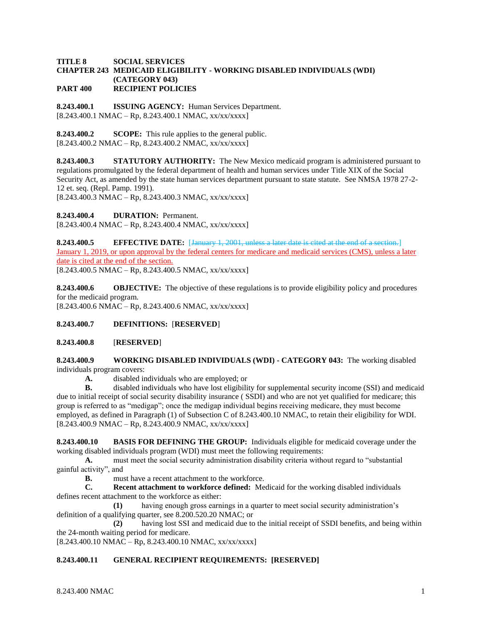#### **TITLE 8 SOCIAL SERVICES CHAPTER 243 MEDICAID ELIGIBILITY - WORKING DISABLED INDIVIDUALS (WDI) (CATEGORY 043) PART 400 RECIPIENT POLICIES**

**8.243.400.1 ISSUING AGENCY:** Human Services Department.  $[8.243.400.1 \text{ NMAC} - \text{Rp}, 8.243.400.1 \text{ NMAC}, xx/xxxxx]$ 

**8.243.400.2 SCOPE:** This rule applies to the general public.  $[8.243.400.2 \text{ NMAC} - \text{Rp}, 8.243.400.2 \text{ NMAC}, xx/xxxx]$ 

**8.243.400.3 STATUTORY AUTHORITY:** The New Mexico medicaid program is administered pursuant to regulations promulgated by the federal department of health and human services under Title XIX of the Social Security Act, as amended by the state human services department pursuant to state statute. See NMSA 1978 27-2- 12 et. seq. (Repl. Pamp. 1991).

 $[8.243.400.3 \text{ NMAC} - \text{Rp}, 8.243.400.3 \text{ NMAC}, xx/xxxxx]$ 

**8.243.400.4 DURATION:** Permanent.

 $[8.243.400.4 \text{ NMAC} - \text{Rp}, 8.243.400.4 \text{ NMAC}, xx/xx/xxx]$ 

**8.243.400.5 EFFECTIVE DATE:** [January 1, 2001, unless a later date is cited at the end of a section.] January 1, 2019, or upon approval by the federal centers for medicare and medicaid services (CMS), unless a later date is cited at the end of the section.

 $[8.243.400.5 \text{ NMAC} - \text{Rp}, 8.243.400.5 \text{ NMAC}, xx/xxxxx]$ 

**8.243.400.6 OBJECTIVE:** The objective of these regulations is to provide eligibility policy and procedures for the medicaid program.  $[8.243.400.6 \text{ NMAC} - \text{Rp}, 8.243.400.6 \text{ NMAC}, xx/xx/xxx]$ 

## **8.243.400.7 DEFINITIONS:** [**RESERVED**]

## **8.243.400.8** [**RESERVED**]

### **8.243.400.9 WORKING DISABLED INDIVIDUALS (WDI) - CATEGORY 043:** The working disabled individuals program covers:

**A.** disabled individuals who are employed; or

**B.** disabled individuals who have lost eligibility for supplemental security income (SSI) and medicaid due to initial receipt of social security disability insurance ( SSDI) and who are not yet qualified for medicare; this group is referred to as "medigap"; once the medigap individual begins receiving medicare, they must become employed, as defined in Paragraph (1) of Subsection C of 8.243.400.10 NMAC, to retain their eligibility for WDI.  $[8.243.400.9 \text{ NMAC} - \text{Rp}, 8.243.400.9 \text{ NMAC}, xx/xx/xxx]$ 

**8.243.400.10 BASIS FOR DEFINING THE GROUP:** Individuals eligible for medicaid coverage under the working disabled individuals program (WDI) must meet the following requirements:

**A.** must meet the social security administration disability criteria without regard to "substantial gainful activity", and

**B.** must have a recent attachment to the workforce.

**C. Recent attachment to workforce defined:** Medicaid for the working disabled individuals defines recent attachment to the workforce as either:

**(1)** having enough gross earnings in a quarter to meet social security administration's definition of a qualifying quarter, see 8.200.520.20 NMAC; or

**(2)** having lost SSI and medicaid due to the initial receipt of SSDI benefits, and being within the 24-month waiting period for medicare.

 $[8.243.400.10 NMAC - Rp, 8.243.400.10 NMAC, xx/xx/xxx]$ 

## **8.243.400.11 GENERAL RECIPIENT REQUIREMENTS: [RESERVED]**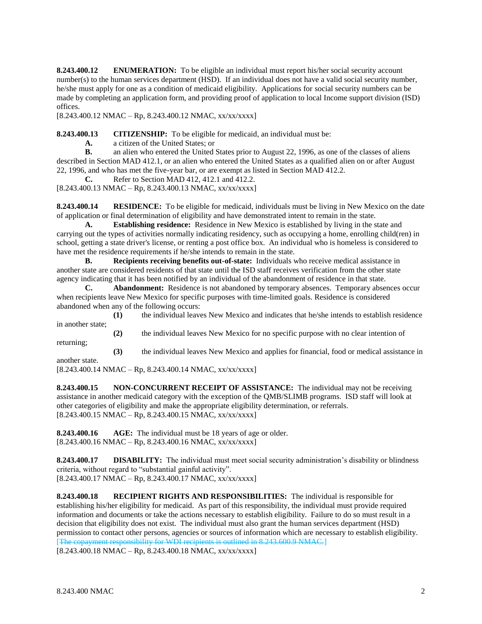**8.243.400.12 ENUMERATION:** To be eligible an individual must report his/her social security account number(s) to the human services department (HSD). If an individual does not have a valid social security number, he/she must apply for one as a condition of medicaid eligibility. Applications for social security numbers can be made by completing an application form, and providing proof of application to local Income support division (ISD) offices.

[8.243.400.12 NMAC – Rp, 8.243.400.12 NMAC, xx/xx/xxxx]

**8.243.400.13 CITIZENSHIP:** To be eligible for medicaid, an individual must be:

**A.** a citizen of the United States; or

**B.** an alien who entered the United States prior to August 22, 1996, as one of the classes of aliens described in Section MAD 412.1, or an alien who entered the United States as a qualified alien on or after August 22, 1996, and who has met the five-year bar, or are exempt as listed in Section MAD 412.2.

**C.** Refer to Section MAD 412, 412.1 and 412.2.

[8.243.400.13 NMAC – Rp, 8.243.400.13 NMAC, xx/xx/xxxx]

**8.243.400.14 RESIDENCE:** To be eligible for medicaid, individuals must be living in New Mexico on the date of application or final determination of eligibility and have demonstrated intent to remain in the state.

**A. Establishing residence:** Residence in New Mexico is established by living in the state and carrying out the types of activities normally indicating residency, such as occupying a home, enrolling child(ren) in school, getting a state driver's license, or renting a post office box. An individual who is homeless is considered to have met the residence requirements if he/she intends to remain in the state.

**B. Recipients receiving benefits out-of-state:** Individuals who receive medical assistance in another state are considered residents of that state until the ISD staff receives verification from the other state agency indicating that it has been notified by an individual of the abandonment of residence in that state.

**C. Abandonment:** Residence is not abandoned by temporary absences. Temporary absences occur when recipients leave New Mexico for specific purposes with time-limited goals. Residence is considered abandoned when any of the following occurs:

**(1)** the individual leaves New Mexico and indicates that he/she intends to establish residence in another state;

**(2)** the individual leaves New Mexico for no specific purpose with no clear intention of

returning; **(3)** the individual leaves New Mexico and applies for financial, food or medical assistance in

another state.

 $[8.243.400.14 \text{ NMAC} - \text{Rp}, 8.243.400.14 \text{ NMAC}, xx/xx/xxxx]$ 

**8.243.400.15 NON-CONCURRENT RECEIPT OF ASSISTANCE:** The individual may not be receiving assistance in another medicaid category with the exception of the QMB/SLIMB programs. ISD staff will look at other categories of eligibility and make the appropriate eligibility determination, or referrals. [8.243.400.15 NMAC – Rp, 8.243.400.15 NMAC, xx/xx/xxxx]

**8.243.400.16 AGE:** The individual must be 18 years of age or older.  $[8.243.400.16 \text{ NMAC} - \text{Rp}, 8.243.400.16 \text{ NMAC}, xx/xxxxx]$ 

**8.243.400.17 DISABILITY:** The individual must meet social security administration's disability or blindness criteria, without regard to "substantial gainful activity".  $[8.243.400.17 \text{ NMAC} - \text{Rp}, 8.243.400.17 \text{ NMAC}, xx/xx/xxxx]$ 

**8.243.400.18 RECIPIENT RIGHTS AND RESPONSIBILITIES:** The individual is responsible for establishing his/her eligibility for medicaid. As part of this responsibility, the individual must provide required information and documents or take the actions necessary to establish eligibility. Failure to do so must result in a decision that eligibility does not exist. The individual must also grant the human services department (HSD) permission to contact other persons, agencies or sources of information which are necessary to establish eligibility.<br>
[The copayment responsibility for WDI recipients is outlined in 8.243.600.9 NMAC.]  $\alpha$  payment responsibility for WDI recipients is outlined in 8.243.600.9 NMAC.

 $[8.243.400.18 \text{ NMAC} - \text{Rp}, 8.243.400.18 \text{ NMAC}, xx/xx/xxxx]$